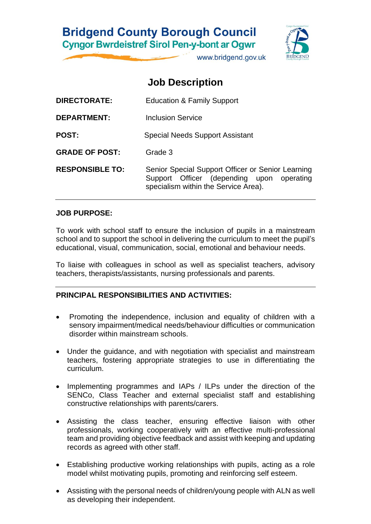## **Bridgend County Borough Council Cyngor Bwrdeistref Sirol Pen-y-bont ar Ogwr**

www.bridgend.gov.uk

# **Job Description**

| <b>DIRECTORATE:</b>    | <b>Education &amp; Family Support</b>                                                                                                  |
|------------------------|----------------------------------------------------------------------------------------------------------------------------------------|
| <b>DEPARTMENT:</b>     | Inclusion Service                                                                                                                      |
| <b>POST:</b>           | <b>Special Needs Support Assistant</b>                                                                                                 |
| <b>GRADE OF POST:</b>  | Grade 3                                                                                                                                |
| <b>RESPONSIBLE TO:</b> | Senior Special Support Officer or Senior Learning<br>Support Officer (depending upon operating<br>specialism within the Service Area). |

### **JOB PURPOSE:**

To work with school staff to ensure the inclusion of pupils in a mainstream school and to support the school in delivering the curriculum to meet the pupil's educational, visual, communication, social, emotional and behaviour needs.

To liaise with colleagues in school as well as specialist teachers, advisory teachers, therapists/assistants, nursing professionals and parents.

### **PRINCIPAL RESPONSIBILITIES AND ACTIVITIES:**

- Promoting the independence, inclusion and equality of children with a sensory impairment/medical needs/behaviour difficulties or communication disorder within mainstream schools.
- Under the guidance, and with negotiation with specialist and mainstream teachers, fostering appropriate strategies to use in differentiating the curriculum.
- Implementing programmes and IAPs / ILPs under the direction of the SENCo, Class Teacher and external specialist staff and establishing constructive relationships with parents/carers.
- Assisting the class teacher, ensuring effective liaison with other professionals, working cooperatively with an effective multi-professional team and providing objective feedback and assist with keeping and updating records as agreed with other staff.
- Establishing productive working relationships with pupils, acting as a role model whilst motivating pupils, promoting and reinforcing self esteem.
- Assisting with the personal needs of children/young people with ALN as well as developing their independent.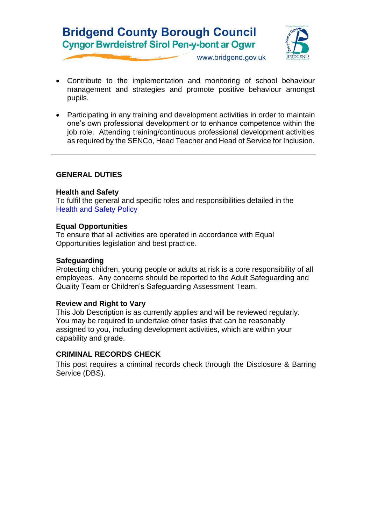# **Bridgend County Borough Council Cyngor Bwrdeistref Sirol Pen-y-bont ar Ogwr**



www.bridgend.gov.uk

- Contribute to the implementation and monitoring of school behaviour management and strategies and promote positive behaviour amongst pupils.
- Participating in any training and development activities in order to maintain one's own professional development or to enhance competence within the job role. Attending training/continuous professional development activities as required by the SENCo, Head Teacher and Head of Service for Inclusion.

### **GENERAL DUTIES**

#### **Health and Safety**

To fulfil the general and specific roles and responsibilities detailed in the [Health and Safety Policy](http://www.bridgenders.net/healthandsafety/Documents/Corporate%20Health%20and%20Safety%20Policy%20June%202017.pdf)

#### **Equal Opportunities**

To ensure that all activities are operated in accordance with Equal Opportunities legislation and best practice.

#### **Safeguarding**

Protecting children, young people or adults at risk is a core responsibility of all employees. Any concerns should be reported to the Adult Safeguarding and Quality Team or Children's Safeguarding Assessment Team.

#### **Review and Right to Vary**

This Job Description is as currently applies and will be reviewed regularly. You may be required to undertake other tasks that can be reasonably assigned to you, including development activities, which are within your capability and grade.

#### **CRIMINAL RECORDS CHECK**

This post requires a criminal records check through the Disclosure & Barring Service (DBS).